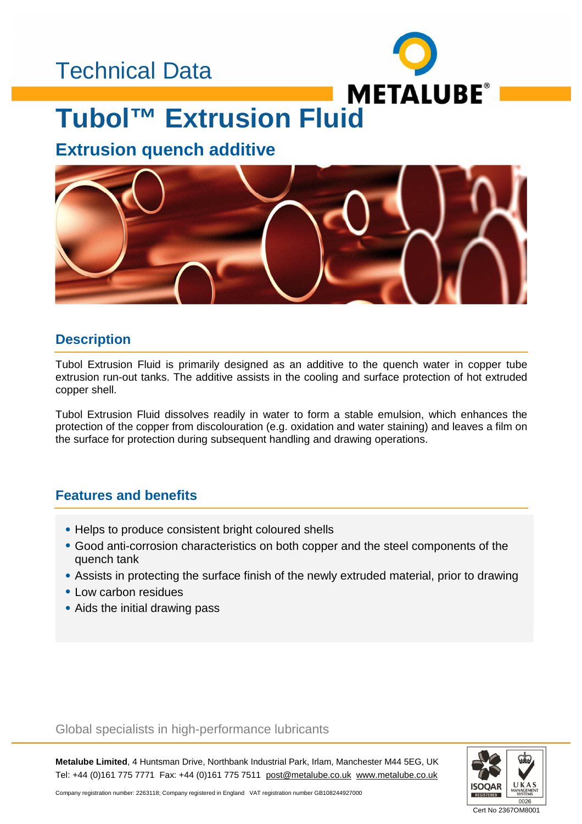### Technical Data



### **Tubol™ Extrusion Fluid**

### **Extrusion quench additive**



#### **Description**

Tubol Extrusion Fluid is primarily designed as an additive to the quench water in copper tube extrusion run-out tanks. The additive assists in the cooling and surface protection of hot extruded copper shell.

Tubol Extrusion Fluid dissolves readily in water to form a stable emulsion, which enhances the protection of the copper from discolouration (e.g. oxidation and water staining) and leaves a film on the surface for protection during subsequent handling and drawing operations.

#### **Features and benefits**

- Helps to produce consistent bright coloured shells
- Good anti-corrosion characteristics on both copper and the steel components of the quench tank
- Assists in protecting the surface finish of the newly extruded material, prior to drawing
- Low carbon residues
- Aids the initial drawing pass

#### Global specialists in high-performance lubricants

**Metalube Limited**, 4 Huntsman Drive, Northbank Industrial Park, Irlam, Manchester M44 5EG, UK Tel: +44 (0)161 775 7771 Fax: +44 (0)161 775 7511 [post@metalube.co.uk](mailto:post@metalube.co.uk) [www.metalube.co.uk](http://www.metalube.co.uk)



Company registration number: 2263118; Company registered in England VAT registration number GB108244927000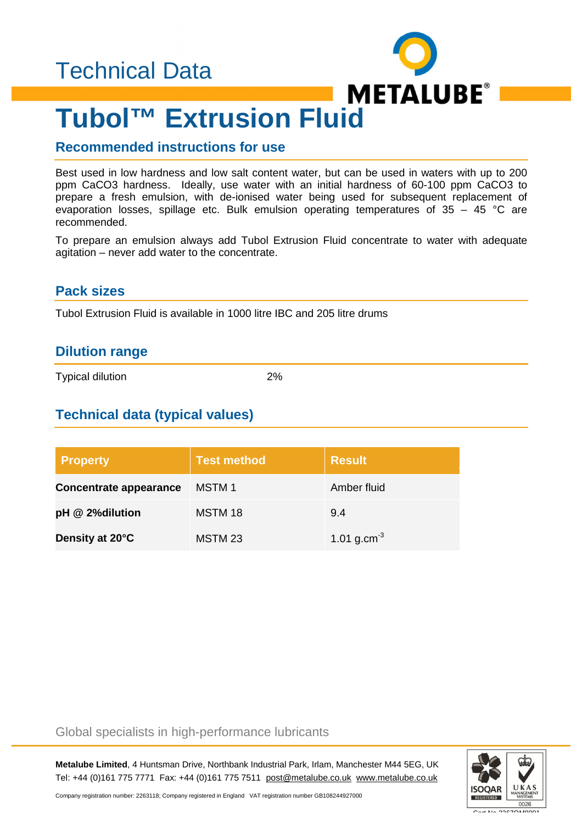

## **Tubol™ Extrusion Fluid**

#### **Recommended instructions for use**

Best used in low hardness and low salt content water, but can be used in waters with up to 200 ppm CaCO3 hardness. Ideally, use water with an initial hardness of 60-100 ppm CaCO3 to prepare a fresh emulsion, with de-ionised water being used for subsequent replacement of evaporation losses, spillage etc. Bulk emulsion operating temperatures of 35 – 45 °C are recommended.

To prepare an emulsion always add Tubol Extrusion Fluid concentrate to water with adequate agitation – never add water to the concentrate.

#### **Pack sizes**

Tubol Extrusion Fluid is available in 1000 litre IBC and 205 litre drums

#### **Dilution range**

Typical dilution 2%

#### **Technical data (typical values)**

| <b>Property</b>               | <b>Test method</b> | <b>Result</b>           |
|-------------------------------|--------------------|-------------------------|
| <b>Concentrate appearance</b> | MSTM 1             | Amber fluid             |
| pH @ 2% dilution              | MSTM 18            | 9.4                     |
| Density at 20°C               | MSTM 23            | 1.01 g.cm <sup>-3</sup> |

#### Global specialists in high-performance lubricants

**Metalube Limited**, 4 Huntsman Drive, Northbank Industrial Park, Irlam, Manchester M44 5EG, UK Tel: +44 (0)161 775 7771 Fax: +44 (0)161 775 7511 [post@metalube.co.uk](mailto:post@metalube.co.uk) [www.metalube.co.uk](http://www.metalube.co.uk)



Company registration number: 2263118; Company registered in England VAT registration number GB108244927000